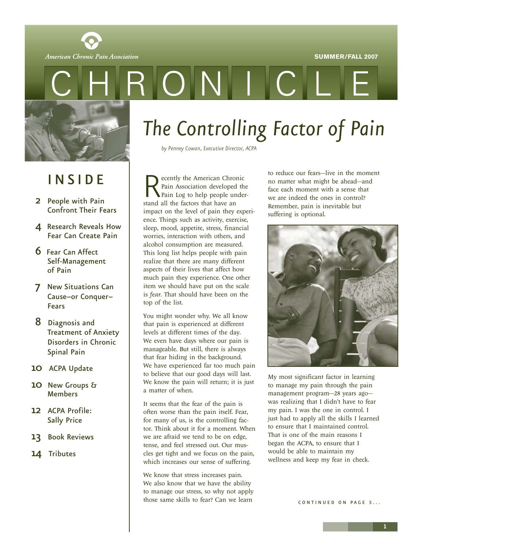

<span id="page-0-0"></span>



## I N S I D E

- 2 People with Pain [Confront Their Fears](#page-1-0)
- 4 [Research Reveals How](#page-3-0) Fear Can Create Pain
- 6 Fear Can Affect [Self-Management](#page-5-0) of Pain
- 7 New Situations Can [Cause–or Conquer–](#page-6-0) Fears
- 8 Diagnosis and [Treatment of Anxiety](#page-7-0) Disorders in Chronic Spinal Pain
- 10 ACPA [Update](#page-9-0)
- 10 [New Groups &](#page-9-0) Members
- 12 ACPA Profile: [Sally Price](#page-11-0)
- 13 [Book Reviews](#page-12-0)
- 14 [Tributes](#page-13-0)

# *The Controlling Factor of Pain*

 $\sqrt{ }$ 

*by Penney Cowan, Executive Director, ACPA*

 $\bigcap$ 

Recently the American Chronic<br>Pain Association developed the<br>stand all the factors that have an Pain Association developed the Pain Log to help people understand all the factors that have an impact on the level of pain they experience. Things such as activity, exercise, sleep, mood, appetite, stress, financial worries, interaction with others, and alcohol consumption are measured. This long list helps people with pain realize that there are many different aspects of their lives that affect how much pain they experience. One other item we should have put on the scale is *fear*. That should have been on the top of the list.

You might wonder why. We all know that pain is experienced at different levels at different times of the day. We even have days where our pain is manageable. But still, there is always that fear hiding in the background. We have experienced far too much pain to believe that our good days will last. We know the pain will return; it is just a matter of when.

It seems that the fear of the pain is often worse than the pain itself. Fear, for many of us, is the controlling factor. Think about it for a moment. When we are afraid we tend to be on edge, tense, and feel stressed out. Our muscles get tight and we focus on the pain, which increases our sense of suffering.

We know that stress increases pain. We also know that we have the ability to manage our stress, so why not apply those same skills to fear? Can we learn

to reduce our fears—live in the moment no matter what might be ahead—and face each moment with a sense that we are indeed the ones in control? Remember, pain is inevitable but suffering is optional.



My most significant factor in learning to manage my pain through the pain management program—28 years ago was realizing that I didn't have to fear my pain. I was the one in control. I just had to apply all the skills I learned to ensure that I maintained control. That is one of the main reasons I began the ACPA, to ensure that I would be able to maintain my wellness and keep my fear in check.

CONTINUED ON PAGE 5...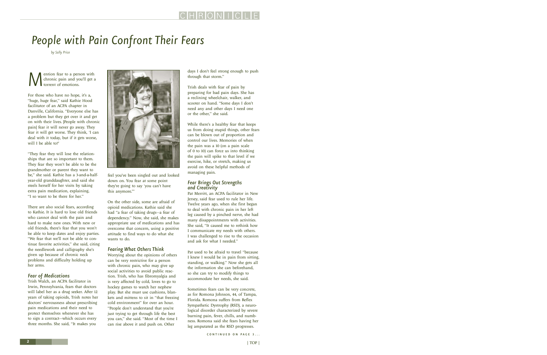# <span id="page-1-0"></span>*People with Pain Confront Their Fears*

*by Sally Price*

**M**ention fear to a person with<br>the chronic pain and you'll get a<br>torrent of emotions. chronic pain and you'll get a torrent of emotions.

For those who have no hope, it's a, "huge, huge fear," said Kathie Hood facilitator of an ACPA chapter in Danville, California. "Everyone else has a problem but they get over it and get on with their lives. [People with chronic pain] fear it will never go away. They fear it will get worse. They think, 'I can deal with it today, but if it gets worse, will I be able to?'

"They fear they will lose the relationships that are so important to them. They fear they won't be able to be the grandmother or parent they want to be," she said. Kathie has a 3-and-a-halfyear-old granddaughter, and said she steels herself for her visits by taking extra pain medication, explaining, "I so want to be there for her."

There are also social fears, according to Kathie. It is hard to lose old friends who cannot deal with the pain and hard to make new ones. With new or old friends, there's fear that you won't be able to keep dates and enjoy parties. "We fear that we'll not be able to continue favorite activities," she said, citing the needlework and calligraphy she's given up because of chronic neck problems and difficulty holding up her arms.

## *Fear of Medications*

Trish Walch, an ACPA facilitator in Irwin, Pennsylvania, fears that doctors will label her as a drug seeker. After 12 years of taking opioids, Trish notes her doctors' nervousness about prescribing pain medications and their need to protect themselves whenever she has to sign a contract—which occurs every three months. She said, "It makes you



feel you've been singled out and looked down on. You fear at some point they're going to say 'you can't have this anymore.'"

On the other side, some are afraid of opioid medications. Kathie said she had "a fear of taking drugs—a fear of dependency." Now, she said, she makes appropriate use of medications and has overcome that concern, using a positive attitude to find ways to do what she wants to do.

## *Fearing What Others Think*

Worrying about the opinions of others can be very restrictive for a person with chronic pain, who may give up social activities to avoid public reaction. Trish, who has fibromyalgia and is very affected by cold, loves to go to hockey games to watch her nephew play. But she must use cushions, blankets and mittens to sit in "that freezing cold environment" for over an hour. "People don't understand that you're just trying to get through life the best you can," she said. "Most of the time I can rise above it and push on. Other

days I don't feel strong enough to push through that storm."

Trish deals with fear of pain by preparing for bad pain days. She has a reclining wheelchair, walker, and scooter on hand. "Some days I don't need any and other days I need one or the other," she said.

While there's a healthy fear that keeps us from doing stupid things, other fears can be blown out of proportion and control our lives. Memories of when the pain was a 10 (on a pain scale of 0 to 10) can force us into thinking the pain will spike to that level if we exercise, hike, or stretch, making us avoid on these helpful methods of managing pain.

## *Fear Brings Out Strengths and Creativity*

Pat Merritt, an ACPA facilitator in New Jersey, said fear used to rule her life. Twelve years ago, when she first began to deal with chronic pain in her left leg caused by a pinched nerve, she had many disappointments with activities. She said, "It caused me to rethink how I communicate my needs with others. I was challenged to rise to the occasion and ask for what I needed."

Pat used to be afraid to travel "because I knew I would be in pain from sitting, standing, or walking." Now she gets all the information she can beforehand, so she can try to modify things to accommodate her needs, she said.

Sometimes fears can be very concrete, as for Romona Johnson, 44, of Tampa, Florida. Romona suffers from Reflex Sympathetic Dystrophy (RSD), a neurological disorder characterized by severe burning pain, fever, chills, and numbness. Romona said she fears having her leg amputated as the RSD progresses.

CONTINUED ON PAGE 3...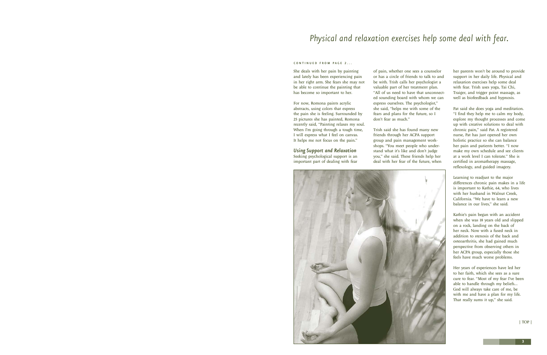## <span id="page-2-0"></span>*Physical and relaxation exercises help some deal with fear.*

#### CONTINUED FROM PAGE 2...

She deals with her pain by painting and lately has been experiencing pain in her right arm. She fears she may not be able to continue the painting that has become so important to her.

For now, Romona paints acrylic abstracts, using colors that express the pain she is feeling. Surrounded by 25 pictures she has painted, Romona recently said, "Painting relaxes my soul. When I'm going through a tough time, I will express what I feel on canvas. It helps me not focus on the pain."

*Using Support and Relaxation* Seeking psychological support is an important part of dealing with fear of pain, whether one sees a counselor or has a circle of friends to talk to and be with. Trish calls her psychologist a valuable part of her treatment plan. "All of us need to have that unconnected sounding board with whom we can express ourselves. The psychologist," she said, "helps me with some of the fears and plans for the future, so I don't fear as much."

Trish said she has found many new friends through her ACPA support group and pain management workshops. "You meet people who understand what it's like and don't judge you," she said. These friends help her deal with her fear of the future, when



her parents won't be around to provide support in her daily life. Physical and relaxation exercises help some deal with fear. Trish uses yoga, Tai Chi, Traiger, and trigger point massage, as well as biofeedback and hypnosis.

Pat said she does yoga and meditation. "I find they help me to calm my body, explore my thought processes and come up with creative solutions to deal with chronic pain," said Pat. A registered nurse, Pat has just opened her own holistic practice so she can balance her pain and patients better. "I now make my own schedule and see clients at a work level I can tolerate." She is certified in aromatherapy massage, reflexology, and guided imagery.

Learning to readjust to the major differences chronic pain makes in a life is important to Kathie, 64, who lives with her husband in Walnut Creek, California. "We have to learn a new balance in our lives," she said.

Kathie's pain began with an accident when she was 18 years old and slipped on a rock, landing on the back of her neck. Now with a fused neck in addition to stenosis of the back and osteoarthritis, she had gained much perspective from observing others in her ACPA group, especially those she feels have much worse problems.

Her years of experiences have led her to her faith, which she sees as a sure cure to fear. "Most of my fear I've been able to handle through my beliefs… God will always take care of me, be with me and have a plan for my life. That really sums it up," she said.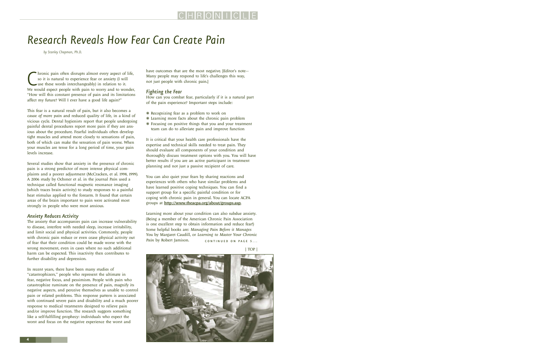## <span id="page-3-0"></span>*Research Reveals How Fear Can Create Pain*

*by Stanley Chapman, Ph.D.*

Chronic pain often disrupts almost every aspect of life, so it is natural to experience fear or anxiety (I will use these words interchangeably) in relation to it.<br>We would expect people with pain to worry and to wonder, hronic pain often disrupts almost every aspect of life, so it is natural to experience fear or anxiety (I will use these words interchangeably) in relation to it. "How will this constant presence of pain and its limitations affect my future? Will I ever have a good life again?"

This fear is a natural result of pain, but it also becomes a *cause of more pain* and reduced quality of life, in a kind of vicious cycle. Dental hygienists report that people undergoing painful dental procedures report more pain if they are anxious about the procedure. Fearful individuals often develop tight muscles and attend more closely to sensations of pain, both of which can make the sensation of pain worse. When your muscles are tense for a long period of time, your pain levels increase.

Several studies show that anxiety in the presence of chronic pain is a strong predictor of more intense physical complaints and a poorer adjustment (McCracken, et al. 1998, 1999). A 2006 study by Ochsner et al. in the journal *Pain* used a technique called functional magnetic resonance imaging (which traces brain activity) to study responses to a painful heat stimulus applied to the forearm. It found that certain areas of the brain important to pain were activated most strongly in people who were most anxious.

#### *Anxiety Reduces Activity*

The anxiety that accompanies pain can increase vulnerability to disease, interfere with needed sleep, increase irritability, and limit social and physical activities. Commonly, people with chronic pain reduce or even cease physical activity out of fear that their condition could be made worse with the wrong movement, even in cases where no such additional harm can be expected. This inactivity then contributes to further disability and depression.

In recent years, there have been many studies of "catastrophizers," people who represent the ultimate in fear, negative focus, and pessimism. People with pain who catastrophize ruminate on the presence of pain, magnify its negative aspects, and perceive themselves as unable to control pain or related problems. This response pattern is associated with continued severe pain and disability and a much poorer response to medical treatments designed to relieve pain and/or improve function. The research suggests something like a self-fulfilling prophecy: individuals who expect the worst and focus on the negative experience the worst and

have outcomes that are the most negative. [Editor's note-Many people may respond to life's challenges this way, not just people with chronic pain.]

#### *Fighting the Fear*

How can you combat fear, particularly if it is a natural part of the pain experience? Important steps include:

- ❋ Recognizing fear as a problem to work on
- ❋ Learning more facts about the chronic pain problem
- ❋ Focusing on positive things that you and your treatment team can do to alleviate pain and improve function

It is critical that your health care professionals have the expertise and technical skills needed to treat pain. They should evaluate all components of your condition and thoroughly discuss treatment options with you. You will have better results if you are an active participant in treatment planning and not just a passive recipient of care.

You can also quiet your fears by sharing reactions and experiences with others who have similar problems and have learned positive coping techniques. You can find a support group for a specific painful condition or for coping with chronic pain in general. You can locate ACPA groups at <http://www.theacpa.org/about/groups.asp>.

Learning more about your condition can also subdue anxiety. (Being a member of the American Chronic Pain Association is one excellent step to obtain information and reduce fear!) Some helpful books are: *Managing Pain Before it Manages You* by Margaret Caudill, or *Learning to Master Your Chronic* Pain by Robert Jamison. CONTINUED ON PAGE 5...

[| TOP |](#page-0-0)

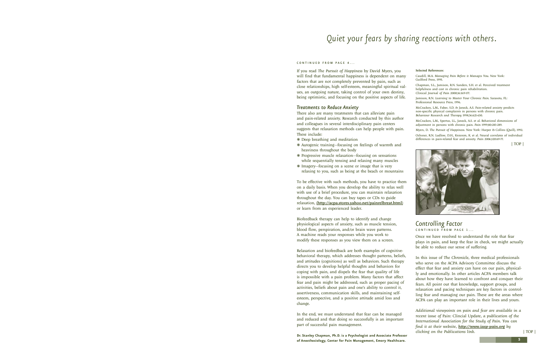## <span id="page-4-0"></span>*Quiet your fears by sharing reactions with others.*

#### C O N T I N II E D F R O M P A G E 4

If you read *The Pursuit of Happiness* by David Myers, you will find that fundamental happiness is dependent on many factors that are not completely prevented by pain, such as close relationships, high self-esteem, meaningful spiritual values, an outgoing nature, taking control of your own destiny, being optimistic, and focusing on the positive aspects of life.

#### *Treatments to Reduce Anxiety*

There also are many treatments that can alleviate pain and pain-related anxiety. Research conducted by this author and colleagues in several interdisciplinary pain centers suggests that relaxation methods can help people with pain. These include:

- ❋ Deep breathing and meditation
- ❋ Autogenic training—focusing on feelings of warmth and heaviness throughout the body
- ❋ Progressive muscle relaxation—focusing on sensations while sequentially tensing and relaxing many muscles
- ❋ Imagery—focusing on a scene or image that is very relaxing to you, such as being at the beach or mountains

To be effective with such methods, you have to practice them on a daily basis. When you develop the ability to relax well with use of a brief procedure, you can maintain relaxation throughout the day. You can buy tapes or CDs to guide relaxation, (<http://acpa.stores.yahoo.net/painrelbreat.html>) or learn from an experienced leader.

Biofeedback therapy can help to identify and change physiological aspects of anxiety, such as muscle tension, blood flow, perspiration, and/or brain wave patterns. A machine reads your responses while you work to modify these responses as you view them on a screen.

Relaxation and biofeedback are both examples of cognitivebehavioral therapy, which addresses thought patterns, beliefs, and attitudes (cognitions) as well as behaviors. Such therapy directs you to develop helpful thoughts and behaviors for coping with pain, and dispels the fear that quality of life is impossible with a pain problem. Many factors that affect fear and pain might be addressed, such as proper pacing of activities, beliefs about pain and one's ability to control it, assertiveness, communication skills, and maintaining selfesteem, perspective, and a positive attitude amid loss and change.

In the end, we must understand that fear can be managed and reduced and that doing so successfully is an important part of successful pain management.

**Dr. Stanley Chapman, Ph.D. is a Psychologist and Associate Professor of Anesthesiology, Center for Pain Management, Emory Healthcare.**

#### Selected References:

Caudill, M.A. *Managing Pain Before it Manages You*. New York: Guilford Press, 1995.

Chapman, S.L., Jamison, R.N. Sanders, S.H. et al. Perceived treatment helpfulness and cost in chronic pain rehabilitation. *Clinical Journal of Pain* 2000;16:169-177.

Jamison, R.N. *Learning to Master Your Chronic Pain*. Sarasota, FL: Professional Resource Press, 1996.

McCracken, L.M., Faber, S.D. & Janeck, A.S. Pain-related anxiety predicts non-specific physical complaints in persons with chronic pain. *Behaviour Research and Therapy* 1998;36:621-630.

McCracken, L.M., Spertus, I.L., Janeck, A.S. et al. Behavioral dimensions of adjustment in persons with chronic pain. *Pain* 1999;80:283-289.

Myers, D. *The Pursuit of Happiness*. New York: Harper & Collins (Quill), 1992. Ochsner, R.N. Ludlow, D.H., Knierem, K. et al. Neural correlates of individual differences in pain-related fear and anxiety. *Pain* 2006;120:69-77.

[| TOP |](#page-0-0)



## *[Controlling Factor](#page-0-0)*  CONTINUED FROM PAGE 1...

Once we have resolved to understand the role that fear plays in pain, and keep the fear in check, we might actually be able to reduce our sense of suffering.

In this issue of *The Chronicle*, three medical professionals who serve on the ACPA Advisory Committee discuss the effect that fear and anxiety can have on our pain, physically and emotionally. In other articles ACPA members talk about how they have learned to confront and conquer their fears. All point out that knowledge, support groups, and relaxation and pacing techniques are key factors in controlling fear and managing our pain. These are the areas where ACPA can play an important role in their lives and yours.

*Additional viewpoints on pain and fear are available in a recent issue of* Pain: Clincial Update*, a publication of the International Association for the Study of Pain. You can find it at their website, <http://www.iasp-pain.org> by clicking on the Publications link.*

[| TOP |](#page-0-0)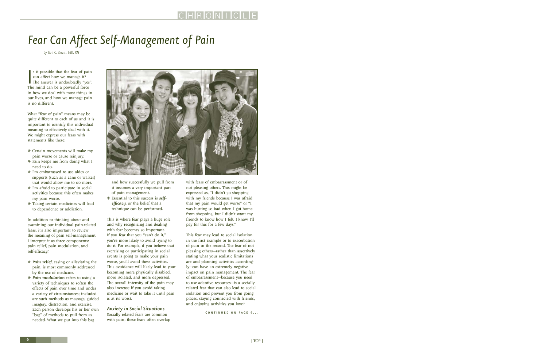# <span id="page-5-0"></span>*Fear Can Affect Self-Management of Pain*

*by Gail C. Davis, EdD, RN*

 $\begin{bmatrix} 1 \\ 1 \end{bmatrix}$ s it possible that the fear of pain can affect how we manage it? The answer is undoubtedly "yes". The mind can be a powerful force in how we deal with most things in our lives, and how we manage pain is no different.

What "fear of pain" means may be quite different to each of us and it is important to identify this individual meaning to effectively deal with it. We might express our fears with statements like these:

- ❋ Certain movements will make my pain worse or cause reinjury.
- ❋ Pain keeps me from doing what I need to do.
- ❋ I'm embarrassed to use aides or supports (such as a cane or walker) that would allow me to do more.
- ❋ I'm afraid to participate in social activities because this often makes my pain worse.
- ❋ Taking certain medicines will lead to dependence or addiction.

In addition to thinking about and examining our individual pain-related fears, it's also important to review the meaning of pain self-management. I interpret it as three components: pain relief, pain modulation, and self-efficacy. 1

- ❋ *Pain relief*, easing or alleviating the pain, is most commonly addressed by the use of medicine.
- ❋ *Pain modulation* refers to using a variety of techniques to soften the effects of pain over time and under a variety of circumstances; included are such methods as massage, guided imagery, distraction, and exercise. Each person develops his or her own "bag" of methods to pull from as needed. What we put into this bag



and how successfully we pull from it becomes a very important part of pain management.

❋ Essential to this success is *selfefficacy*, or the belief that a technique can be performed.

This is where fear plays a huge role and why recognizing and dealing with fear becomes so important. If you fear that you "can't do it," you're more likely to avoid trying to do it. For example, if you believe that exercising or participating in social events is going to make your pain worse, you'll avoid these activities. This avoidance will likely lead to your becoming more physically disabled, more isolated, and more depressed. The overall intensity of the pain may also increase if you avoid taking medicine or wait to take it until pain is at its worst.

### *Anxiety in Social Situations*

Socially related fears are common with pain; these fears often overlap with fears of embarrassment or of not pleasing others. This might be expressed as, "I didn't go shopping with my friends because I was afraid that my pain would get worse" or "I was hurting so bad when I got home from shopping, but I didn't want my friends to know how I felt. I know I'll pay for this for a few days."

This fear may lead to social isolation in the first example or to exacerbation of pain in the second. The fear of not pleasing others—rather than assertively stating what your realistic limitations are and planning activities accordingly—can have an extremely negative impact on pain management. The fear of embarrassment—because you need to use adaptive resources—is a socially related fear that can also lead to social isolation and prevent you from going places, staying connected with friends, and enjoying activities you love.<sup>2</sup>

CONTINUED ON PAGE 9...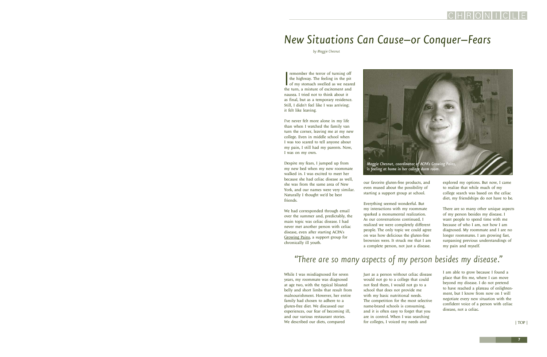## <span id="page-6-0"></span>*New Situations Can Cause–or Conquer–Fears*

*by Maggie Chesnut*

remember the terror of turning off<br>the highway. The feeling in the pit<br>of my stomach swelled as we near<br>the turn, a mixture of excitement and remember the terror of turning off the highway. The feeling in the pit of my stomach swelled as we neared nausea. I tried not to think about it as final, but as a temporary residence. Still, I didn't feel like I was arriving; it felt like leaving.

I've never felt more alone in my life than when I watched the family van turn the corner, leaving me at my new college. Even in middle school when I was too scared to tell anyone about my pain, I still had my parents. Now, I was on my own.

Despite my fears, I jumped up from my new bed when my new roommate walked in. I was excited to meet her because she had celiac disease as well, she was from the same area of New York, and our names were very similar. Naturally I thought we'd be best friends.

We had corresponded through email over the summer and, predictably, the main topic was celiac disease. I had never met another person with celiac disease, even after starting ACPA's [Growing Pains](http://www.theacpa.org/people/growing_pains.asp), a support group for chronically ill youth.



our favorite gluten-free products, and even mused about the possibility of starting a support group at school.

Everything seemed wonderful. But my interactions with my roommate sparked a monumental realization. As our conversations continued, I realized we were completely different people. The only topic we could agree on was how delicious the gluten-free brownies were. It struck me that I am a complete person, not just a disease.

explored my options. But now, I came to realize that while much of my college search was based on the celiac diet, my friendships do not have to be.

There are so many other unique aspects of my person besides my disease. I want people to spend time with me because of who I am, not how I am diagnosed. My roommate and I are no longer roommates. I am growing fast, surpassing previous understandings of my pain and myself.

## *"There are so many aspects of my person besides my disease."*

While I was misdiagnosed for seven years, my roommate was diagnosed at age two, with the typical bloated belly and short limbs that result from malnourishment. However, her entire family had chosen to adhere to a gluten-free diet. We discussed our experiences, our fear of becoming ill, and our various restaurant stories. We described our diets, compared

Just as a person without celiac disease would not go to a college that could not feed them, I would not go to a school that does not provide me with my basic nutritional needs. The competition for the most selective name-brand schools is consuming, and it is often easy to forget that you are in control. When I was searching for colleges, I voiced my needs and

I am able to grow because I found a place that fits me, where I can move beyond my disease. I do not pretend to have reached a plateau of enlightenment, but I know from now on I will negotiate every new situation with the confident voice of a person with celiac disease, not a celiac.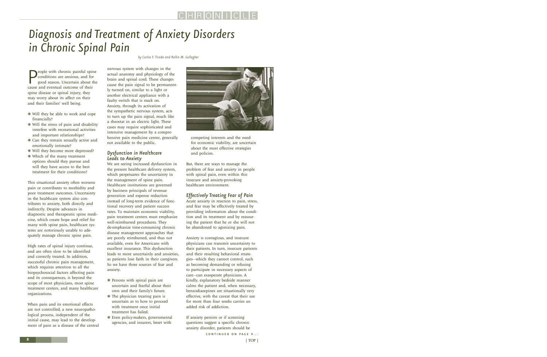# <span id="page-7-0"></span>*Diagnosis and Treatment of Anxiety Disorders in Chronic Spinal Pain*

**P**eople with chronic painful spin conditions are anxious, and for good reason. Uncertain about their eople with chronic painful spine conditions are anxious, and for good reason. Uncertain about the spine disease or spinal injury, they may worry about its affect on their and their families' well being.

- ❋ Will they be able to work and cope financially?
- ❋ Will the stress of pain and disability interfere with recreational activities and important relationships?
- ❋ Can they remain sexually active and emotionally intimate?
- ❋ Will they become more depressed?
- ❋ Which of the many treatment options should they pursue and will they have access to the best treatment for their conditions?

This situational anxiety often worsens pain or contributes to morbidity and poor treatment outcomes. Uncertainty in the healthcare system also contributes to anxiety, both directly and indirectly. Despite advances in diagnostic and therapeutic spine medicine, which create hope and relief for many with spine pain, healthcare systems are notoriously unable to adequately manage chronic spine pain.

High rates of spinal injury continue, and are often slow to be identified and correctly treated. In addition, successful chronic pain management, which requires attention to all the biopsychosocial factors affecting pain and its consequences, is beyond the scope of most physicians, most spine treatment centers, and many healthcare organizations.

When pain and its emotional effects are not controlled, a new neuropathological process, independent of the initial cause, may lead to the development of pain as a disease of the central nervous system with changes in the actual anatomy and physiology of the brain and spinal cord. These changes cause the pain signal to be permanently turned on, similar to a light or another electrical appliance with a faulty switch that is stuck on. Anxiety, through its activation of the sympathetic nervous system, acts to turn up the pain signal, much like a rheostat in an electric light. These cases may require sophisticated and intensive management by a comprehensive pain medicine center, generally not available to the public.

### *Dysfunction in Healthcare Leads to Anxiety*

We are seeing increased dysfunction in the present healthcare delivery system, which perpetuates the uncertainty in the management of spine pain. Healthcare institutions are governed by business principals of revenue generation and expense reduction instead of long-term evidence of functional recovery and patient success rates. To maintain economic viability, pain treatment centers must emphasize well-reimbursed procedures. They de-emphasize time-consuming chronic disease management approaches that are poorly reimbursed, and thus not available, even for Americans with excellent insurance. This dysfunction leads to more uncertainly and anxieties, as patients lose faith in their caregivers. So we have three sources of fear and anxiety.

- ❋ Persons with spinal pain are uncertain and fearful about their own and their family's future.
- ❋ The physician treating pain is uncertain as to how to proceed with treatment once initial treatment has failed.
- ❋ Even policy-makers, governmental agencies, and insurers, beset with

*by Carlos F. Tirado and Rollin M. Gallagher*



competing interests and the need for economic viability, are uncertain about the most effective strategies and policies.

But, there are ways to manage the problem of fear and anxiety in people with spinal pain, even within this insecure and anxiety-provoking healthcare environment.

## *Effectively Treating Fear of Pain*

Acute anxiety in reaction to pain, stress, and fear may be effectively treated by providing information about the condition and its treatment and by reassuring the patient that he or she will not be abandoned to agonizing pain.

Anxiety is contagious, and insecure physicians can transmit uncertainty to their patients. In turn, insecure patients and their resulting behavioral strategies—which they cannot control, such as becoming demanding or refusing to participate in necessary aspects of care—can exasperate physicians. A kindly, explanatory bedside manner calms the patient and, when necessary, benzodiazepines are situationally very effective, with the caveat that their use for more than four weeks carries an added risk of addiction.

If anxiety persists or if screening questions suggest a specific chronic anxiety disorder, patients should be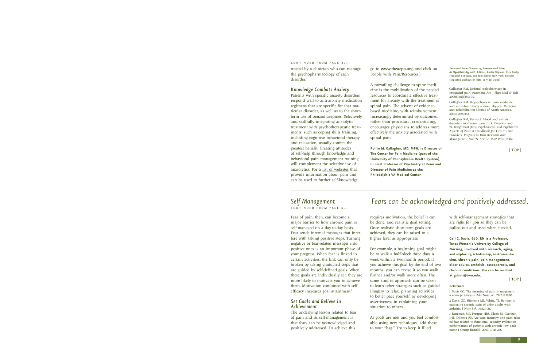#### <span id="page-8-0"></span>C O N T I N II E D F R O M P A G E 8

treated by a clinician who can manage the psychopharmacology of each disorder.

#### *Knowledge Combats Anxiety*

Patients with specific anxiety disorders respond well to anti-anxiety medication regimens that are specific for that particular disorder, as well as to the shortterm use of benzodiazepines. Selectively and skillfully integrating anxiolytic treatment with psychotherapeutic treatments, such as coping skills training, including cognitive behavioral therapy and relaxation, usually confers the greatest benefit. Creating attitudes of self-help through knowledge and behavioral pain management training will complement the selective use of anxiolytics. For a [list of websites](http://www.theacpa.org/people/health.asp) that provide information about pain and can be used to further self-knowledge,

go to [www.theacpa.org](http://www.theacpa.org), and click on People with Pain/Resources.)

A prevailing challenge to spine medicine is the mobilization of the needed resources to coordinate effective treatment for anxiety with the treatment of spinal pain. The advent of evidencebased medicine, with reimbursement increasingly determined by outcomes, rather than procedural credentialing, encourages physicians to address more effectively the anxiety associated with spinal pain.

**Rollin M. Gallagher, MD, MPH, is Director of The Center for Pain Medicine (part of the University of Pennsylvania Health System), Clinical Professor of Psychiatry at Penn and Director of Pain Medicine at the Philadelphia VA Medical Center.**

Excerpted from Chapter 15, *Interventional Spine: An Algorithmic Approach* Editors: Curtis Slipman, Rick Derby, Frederick Simeone, and Tom Mayer. New York: Elsevier (expected publication date, July 30, 2007)

Gallagher RM. Rational polypharmacy in integrated pain treatment. *Am J Phys Med & Reh* 2005(S);84(3):S64-76.

Gallagher RM. Biopsychosocial pain medicine and mind-brain-body science. Physical Medicine and Rehabilitation Clinics of North America. 2004;15:855-882.

Gallagher RM, Verma S. Mood and anxiety disorders in chronic pain. In R. Dworkin and W. Brieghtbart (Eds), *Psychosocial and Psychiatric Aspects of Pain: A Handbook for Health Care Providers*. *Progress in Pain Research and Management*, Vol. 27. Seattle: IASP Press, 2004.

[| TOP |](#page-0-0)

### *[Self Management](#page-5-0)*  CONTINUED FROM PAGE 6...

Fear of pain, then, can become a major barrier to how chronic pain is self-managed on a day-to-day basis. Fear sends internal messages that interfere with taking positive steps. Turning negative or fear-related messages into positive ones is an important phase of your progress. When fear is linked to certain activities, the link can only be broken by taking graduated steps that are guided by self-defined goals. When these goals are individually set, they are more likely to motivate you to achieve them. Motivation combined with selfefficacy increases goal attainment.<sup>3</sup>

### *Set Goals and Believe in Achievement*

The underlying lesson related to fear of pain and its self-management is that fears can be acknowledged and positively addressed. To achieve this

## *Fears can be acknowledged and positively addressed.*

requires motivation, the belief it can be done, and realistic goal setting. Once realistic short-term goals are achieved, they can be raised to a higher level as appropriate.

For example, a beginning goal might be to walk a half-block three days a week within a two-month period. If you achieve this goal by the end of two months, you can revise it so you walk further and/or walk more often. The same kind of approach can be taken to learn other strategies such as guided imagery to relax, planning activities to better pace yourself, or developing assertiveness in explaining your situation to others.

As goals are met and you feel comfortable using new techniques, add these to your "bag." Try to keep it filled

with self-management strategies that are *right for you* so they can be pulled out and used when needed.

**Gail C. Davis, EdD, RN is a Professor, Texas Woman's University College of Nursing, involved with research, aging, and exploring scholarship, instrumentation, chronic pain, pain management, older adults, arthritis, osteoporosis, and chronic conditions. She can be reached at [gdavis@twu.edu.](mailto:gdavis@twu.edu)**

[| TOP |](#page-0-0)

#### References

1 Davis GC. The meaning of pain management: a concept analysis. *Adv Nurs Sci.* 1992;15:77-86.

2 Davis GC, Hiemenz ML, White, TL. Barriers to managing chronic pain of older adults with arthritis. *J Nurs Sch.* 34:121-126.

3 Reneman MF, Preuper HRS, Kleen M, Geertzen JHB, Dijkstra PU. Are pain intensity and pain related fear related to functional capacity evaluation performances of patients with chronic low back pain? *J Occup Rehabil.* 2007; 17:24-258.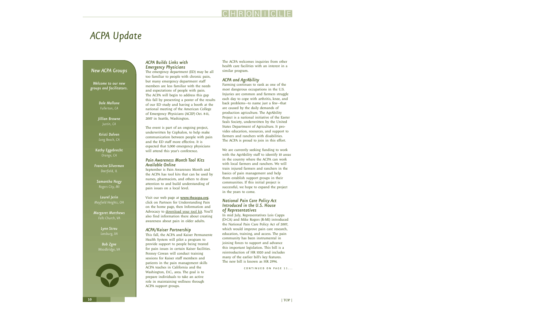## <span id="page-9-0"></span>*ACPA Update*

## *New ACPA Groups*

*Welcome to our new groups and facilitators.*

> *Dale Mallone Fullerton, CA*

*Jillian Browne Justin, CA*

*Kristi Dalven Long Beach, CA*

*Kathy Eggebrecht Orange, CA*

*Francine Silverman Deerfield, IL*

*Samantha Nagy Rogers City, MI* 

*Laurel Jerin Mayfield Heights, OH* 

*Margaret Matthews Falls Church, VA*

> *Lynn Streu Leesburg, VA*

*Bob Zgne Woodbridge, VA*



## *ACPA Builds Links with Emergency Physicians*

The emergency department (ED) may be all too familiar to people with chronic pain, but many emergency department staff members are less familiar with the needs and expectations of people with pain. The ACPA will begin to address this gap this fall by presenting a poster of the results of our ED study and having a booth at the national meeting of the American College of Emergency Physicians (ACEP) Oct. 8-11, 2007 in Seattle, Washington.

The event is part of an ongoing project, underwritten by Cephalon, to help make communication between people with pain and the ED staff more effective. It is expected that 5,000 emergency physicians will attend this year's conference.

### *Pain Awareness Month Tool Kits Available Online*

September is Pain Awareness Month and the ACPA has tool kits that can be used by nurses, pharmacists, and others to draw attention to and build understanding of pain issues on a local level.

Visit our web page at **[www.theacpa.org](http://www.theacpa.org/partners/info_ad.asp)**, click on Partners for Understanding Pain on the home page, then Information and Advocacy to [download your tool kit.](http://www.theacpa.org/partners/info_ad.asp) You'll also find information there about creating awareness about pain in older adults.

## *ACPA/Kaiser Partnership*

This fall, the ACPA and Kaiser Permanente Health System will pilot a program to provide support to people being treated for pain issues in certain Kaiser facilities. Penney Cowan will conduct training sessions for Kaiser staff members and patients in the pain management skills ACPA teaches in California and the Washington, D.C., area. The goal is to prepare individuals to take an active role in maintaining wellness through ACPA support groups.

The ACPA welcomes inquiries from other health care facilities with an interest in a similar program.

## *ACPA and AgrAbility*

Farming continues to rank as one of the most dangerous occupations in the U.S. Injuries are common and farmers struggle each day to cope with arthritis, knee, and back problems—to name just a few—that are caused by the daily demands of production agriculture. The AgrAbility Project is a national initiative of the Easter Seals Society, underwritten by the United States Department of Agriculture. It provides education, resources, and support to farmers and ranchers with disabilities. The ACPA is proud to join in this effort.

We are currently seeking funding to work with the AgrAbility staff to identify 10 areas in the country where the ACPA can work with local farmers and ranchers. We will train injured farmers and ranchers in the basics of pain management and help them establish support groups in their communities. If this initial project is successful, we hope to expand the project in the years to come.

### *National Pain Care Policy Act Introduced in the U.S. House of Representatives*

In mid July, Representatives Lois Capps (D-CA) and Mike Rogers (R-MI) introduced the National Pain Care Policy Act of 2007, which would improve pain care research, education, training, and access. The pain community has been instrumental in joining forces to support and advance this important legislation. This bill is a reintroduction of HR 1020 and includes many of the earlier bill's key features. The new bill is known as HR 2994.

CONTINUED ON PAGE 11...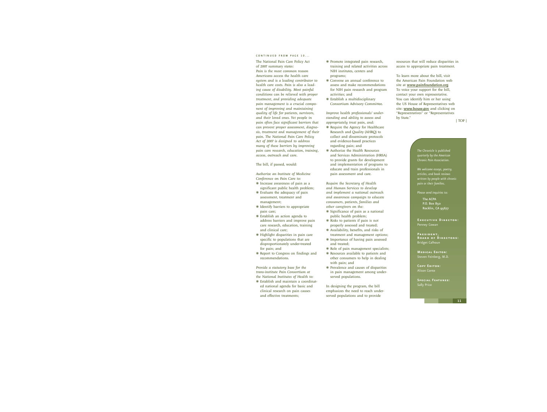#### <span id="page-10-0"></span>C O N T I N II E D F R O M P A G E 10

The National Pain Care Policy Act of 2007 summary states: *Pain is the most common reason Americans access the health care system and is a leading contributor to health care costs. Pain is also a leading cause of disability. Most painful conditions can be relieved with proper treatment, and providing adequate pain management is a crucial component of improving and maintaining quality of life for patients, survivors, and their loved ones. Yet people in pain often face significant barriers that can prevent proper assessment, diagnosis, treatment and management of their pain. The National Pain Care Policy Act of 2007 is designed to address many of these barriers by improving pain care research, education, training, access, outreach and care.*

The bill, if passed, would:

*Authorize an Institute of Medicine Conference on Pain Care to:*

- ❋ Increase awareness of pain as a significant public health problem;
- ❋ Evaluate the adequacy of pain assessment, treatment and management;
- ❋ Identify barriers to appropriate pain care;
- ❋ Establish an action agenda to address barriers and improve pain care research, education, training and clinical care;
- ❋ Highlight disparities in pain care specific to populations that are disproportionately under-treated for pain; and
- ❋ Report to Congress on findings and recommendations.

*Provide a statutory base for the trans-institute Pain Consortium at the National Institutes of Health to:*

❋ Establish and maintain a coordinated national agenda for basic and clinical research on pain causes and effective treatments;

- ❋ Promote integrated pain research, training and related activities across NIH institutes, centers and programs;
- ❋ Convene an annual conference to assess and make recommendations for NIH pain research and program activities; and
- ❋ Establish a multidisciplinary Consortium Advisory Committee.

*Improve health professionals' understanding and ability to assess and appropriately treat pain, and:*

- ❋ Require the Agency for Healthcare Research and Quality (AHRQ) to collect and disseminate protocols and evidence-based practices regarding pain; and
- ❋ Authorize the Health Resources and Services Administration (HRSA) to provide grants for development and implementation of programs to educate and train professionals in pain assessment and care.

*Require the Secretary of Health and Human Services to develop and implement a national outreach and awareness campaign to educate consumers, patients, families and other caregivers on the:*

- ❋ Significance of pain as a national public health problem;
- ❋ Risks to patients if pain is not properly assessed and treated;
- ❋ Availability, benefits, and risks of treatment and management options;
- ❋ Importance of having pain assessed and treated;
- ❋ Role of pain management specialists;
- ❋ Resources available to patients and other consumers to help in dealing with pain; and
- ❋ Prevalence and causes of disparities in pain management among underserved populations.

In designing the program, the bill emphasizes the need to reach underserved populations and to provide

resources that will reduce disparities in access to appropriate pain treatment.

To learn more about the bill, visit the American Pain Foundation web site at [www.painfoundation.org](http://www.painfoundation.org). To voice your support for the bill, contact your own representative. You can identify him or her using the US House of Representatives web site: [www.house.gov](http://www.house.gov) and clicking on "Representatives" or "Representatives by State."

[| TOP |](#page-0-0)

*The Chronicle is published quarterly by the American Chronic Pain Association.*

*We welcome essays, poetry, articles, and book reviews written by people with chronic pain or their families.*

*Please send inquiries to:*

The ACPA P.O. Box 850 Rocklin, CA 95677

**Executive Director:** Penney Cowan

**President, Board of Directors:** Bridget Calhoun

**Medical Editor:** Steven Feinberg, M.D.

**Copy Editor:** Alison Conte

**Special Features:** Sally Price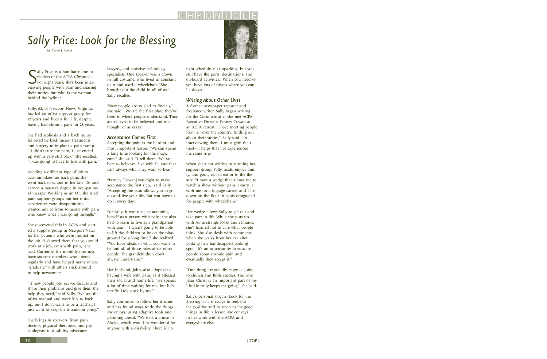# <span id="page-11-0"></span>*Sally Price: Look for the Blessing*

*by Alison J. Conte*

S ally Price is a familiar name to<br>
For eight years, she's been inter-<br>
viewing people with pain and sharing ally Price is a familiar name to readers of the ACPA *Chronicle*. For eight years, she's been intertheir stories. But who is the woman behind the byline?

Sally, 62, of Newport News, Virginia, has led an ACPA support group for 12 years and lives a full life, despite having had chronic pain for 28 years.

She had scoliosis and a back injury followed by back fusion treatments and surgery to implant a pain pump. "It didn't cure the pain, I just ended up with a very stiff back," she recalled. "I was going to have to live with pain."

Needing a different type of job to accommodate her back pain, she went back to school in her late 40s and earned a master's degree in occupational therapy. Working as an OT, she tried pain support groups but her initial experiences were disappointing, "I wanted advice from someone with pain who knew what I was going through."

She discovered this in ACPA and started a support group in Newport News for her patients who were injured on the job. "I showed them that you could work at a job, even with pain," she said. Currently, the monthly meetings have six core members who attend regularly and have helped many others "graduate." Still others stick around to help newcomers.

"If new people join us, we discuss and share their problems and give them the help they need," said Sally. "We use the ACPA manual and work kits as back up, but I don't want to be a teacher. I just want to keep the discussion going."

She brings in speakers, from pain doctors, physical therapists, and psychologists, to disability advocates,

lawyers, and assistive technology specialists. One speaker was a clown, in full costume, who lived in constant pain and used a wheelchair. "She brought out the child in all of us," Sally recalled.

"New people are so glad to find us," she said. "We are the first place they've been to where people understand. They are relieved to be believed and not thought of as crazy."

### *Acceptance Comes First*

Accepting the pain is the hardest and most important lesson. "We can spend a long time looking for the magic cure," she said. "I tell them, 'We are here to help you live with it,' and that isn't always what they want to hear."

"Penney [Cowan] was right to make acceptance the first step," said Sally. "Accepting the pain allows you to go on and live your life. But you have to do it every day."

For Sally, it was not just accepting herself as a person with pain; she also had to learn to live as a grandparent with pain. "I wasn't going to be able to lift the children or be on the playground for a long time," she realized. "You have ideals of what you want to be and all of those roles affect other people. The grandchildren don't always understand."

Her husband, John, also adapted to having a wife with pain, as it affected their social and home life. "He spends a lot of time waiting for me, but he's terrific. He's stuck by me."

Sally continues to follow her dreams and has found ways to do the things she enjoys, using adaptive tools and planning ahead. "We took a cruise to Alaska, which would be wonderful for anyone with a disability. There is no

tight schedule, no unpacking, but you still have the ports, destinations, and on-board activities. When you need to, you have lots of places where you can lie down."

## *Writing About Other Lives*

A former newspaper reporter and freelance writer, Sally began writing for the *Chronicle* after she met ACPA Executive Director Penney Cowan at an ACPA retreat. "I love meeting people from all over the country, finding out about their stories," Sally said. "In interviewing them, I must gain their trust—it helps that I've experienced the same trip."

When she's not writing or running her support group, Sally reads, enjoys family, and going out to eat or to the theatre. "I have a wedge that allows me to watch a show without pain. I carry it with me on a luggage carrier and I lie down on the floor in spots designated for people with wheelchairs."

Her wedge allows Sally to get out and take part in life. While she puts up with some strange looks and remarks, she's learned not to care what people think. She also deals with comments when she walks from her car after parking in a handicapped parking spot. "It's an opportunity to educate people about chronic pain and eventually they accept it."

"One thing I especially enjoy is going to church and Bible studies. The Lord Jesus Christ is an important part of my life. He truly keeps me going," she said.

Sally's personal slogan—Look for the Blessing—is a message to seek out the positive and be open to the good things in life, a lesson she conveys in her work with the ACPA and everywhere else.

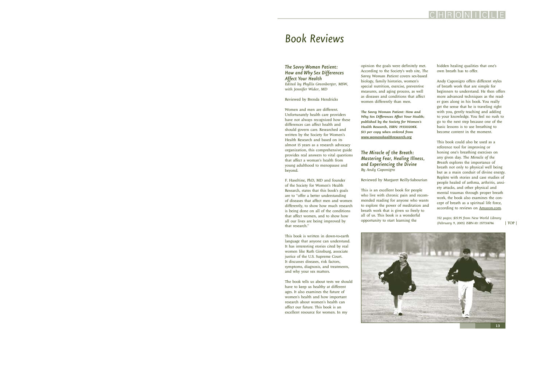## <span id="page-12-0"></span>*Book Reviews*

## *The Savvy Woman Patient: How and Why Sex Differences Affect Your Health*

*Edited by Phyllis Greenberger, MSW, with Jennifer Wider, MD*

Reviewed by Brenda Hendricks

Women and men are different. Unfortunately health care providers have not always recognized how these differences can affect health and should govern care. Researched and written by the Society for Women's Health Research and based on its almost 15 years as a research advocacy organization, this comprehensive guide provides real answers to vital questions that affect a woman's health from young adulthood to menopause and beyond.

F. Haseltine, PhD, MD and founder of the Society for Women's Health Research, states that this book's goals are to "offer a better understanding of diseases that affect men and women differently, to show how much research is being done on all of the conditions that affect women, and to show how all our lives are being improved by that research."

This book is written in down-to-earth language that anyone can understand. It has interesting stories cited by real women like Ruth Ginsburg, associate justice of the U.S. Supreme Court. It discusses diseases, risk factors, symptoms, diagnosis, and treatments, and why your sex matters.

The book tells us about tests we should have to keep us healthy at different ages. It also examines the future of women's health and how important research about women's health can affect our future. This book is an excellent resource for women. In my

opinion the goals were definitely met. According to the Society's web site, *The Savvy Woman Patient* covers sex-based biology, family histories, women's special nutrition, exercise, preventive measures, and aging process, as well as diseases and conditions that affect women differently than men.

*The Savvy Woman Patient: How and Why Sex Differences Affect Your Health; published by the Society for Women's Health Research, ISBN: 193310208X. \$13 per copy when ordered from [www.womenshealthresearch.org](http://www.womenshealthresearch.org)*

## *The Miracle of the Breath: Mastering Fear, Healing Illness, and Experiencing the Divine By Andy Caponigro*

Reviewed by Margaret Reilly-Sabourian

This is an excellent book for people who live with chronic pain and recommended reading for anyone who wants to explore the power of meditation and breath work that is given so freely to all of us. This book is a wonderful opportunity to start learning the

hidden healing qualities that one's own breath has to offer.

CHRONIC

Andy Caponigro offers different styles of breath work that are simple for beginners to understand. He then offers more advanced techniques as the reader goes along in his book. You really get the sense that he is traveling right with you, gently teaching and adding to your knowledge. You feel no rush to go to the next step because one of the basic lessons is to use breathing to become content in the moment.

This book could also be used as a reference tool for improving or honing one's breathing exercises on any given day. *The Miracle of the Breath* explores the importance of breath not only to physical well being but as a main conduit of divine energy. Replete with stories and case studies of people healed of asthma, arthritis, anxiety attacks, and other physical and mental traumas through proper breath work, the book also examines the concept of breath as a spiritual life force, according to reviews on **Amazon.com**.

*352 pages; \$15.95 from New World Library (February 9, 2005) ISBN-10: 1577314786* [| TOP |](#page-0-0)